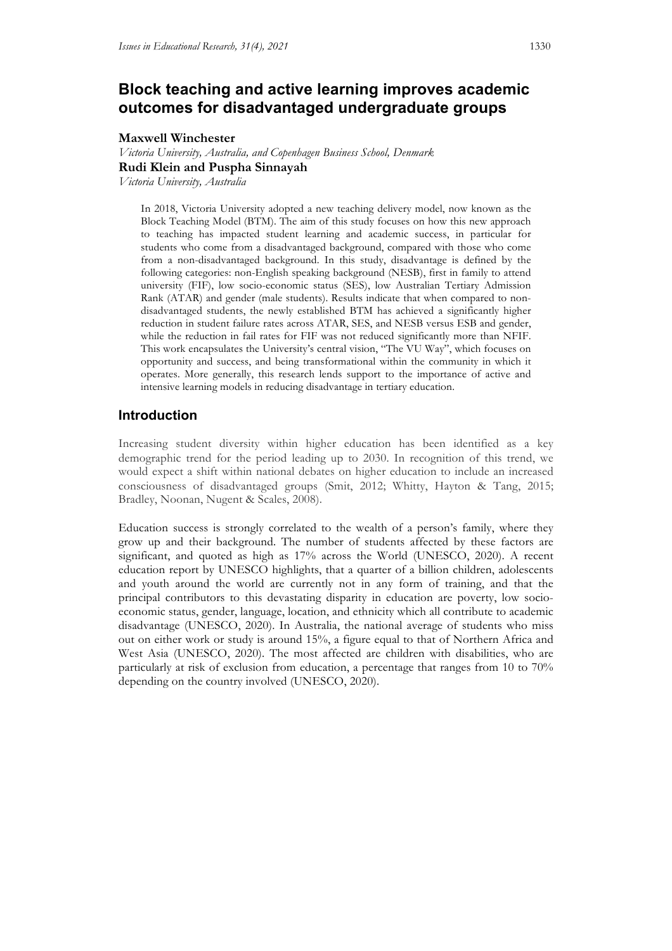# **Block teaching and active learning improves academic outcomes for disadvantaged undergraduate groups**

### **Maxwell Winchester**

*Victoria University, Australia, and Copenhagen Business School, Denmark* **Rudi Klein and Puspha Sinnayah**

*Victoria University, Australia*

In 2018, Victoria University adopted a new teaching delivery model, now known as the Block Teaching Model (BTM). The aim of this study focuses on how this new approach to teaching has impacted student learning and academic success, in particular for students who come from a disadvantaged background, compared with those who come from a non-disadvantaged background. In this study, disadvantage is defined by the following categories: non-English speaking background (NESB), first in family to attend university (FIF), low socio-economic status (SES), low Australian Tertiary Admission Rank (ATAR) and gender (male students). Results indicate that when compared to nondisadvantaged students, the newly established BTM has achieved a significantly higher reduction in student failure rates across ATAR, SES, and NESB versus ESB and gender, while the reduction in fail rates for FIF was not reduced significantly more than NFIF. This work encapsulates the University's central vision, "The VU Way", which focuses on opportunity and success, and being transformational within the community in which it operates. More generally, this research lends support to the importance of active and intensive learning models in reducing disadvantage in tertiary education.

# **Introduction**

Increasing student diversity within higher education has been identified as a key demographic trend for the period leading up to 2030. In recognition of this trend, we would expect a shift within national debates on higher education to include an increased consciousness of disadvantaged groups (Smit, 2012; Whitty, Hayton & Tang, 2015; Bradley, Noonan, Nugent & Scales, 2008).

Education success is strongly correlated to the wealth of a person's family, where they grow up and their background. The number of students affected by these factors are significant, and quoted as high as 17% across the World (UNESCO, 2020). A recent education report by UNESCO highlights, that a quarter of a billion children, adolescents and youth around the world are currently not in any form of training, and that the principal contributors to this devastating disparity in education are poverty, low socioeconomic status, gender, language, location, and ethnicity which all contribute to academic disadvantage (UNESCO, 2020). In Australia, the national average of students who miss out on either work or study is around 15%, a figure equal to that of Northern Africa and West Asia (UNESCO, 2020). The most affected are children with disabilities, who are particularly at risk of exclusion from education, a percentage that ranges from 10 to 70% depending on the country involved (UNESCO, 2020).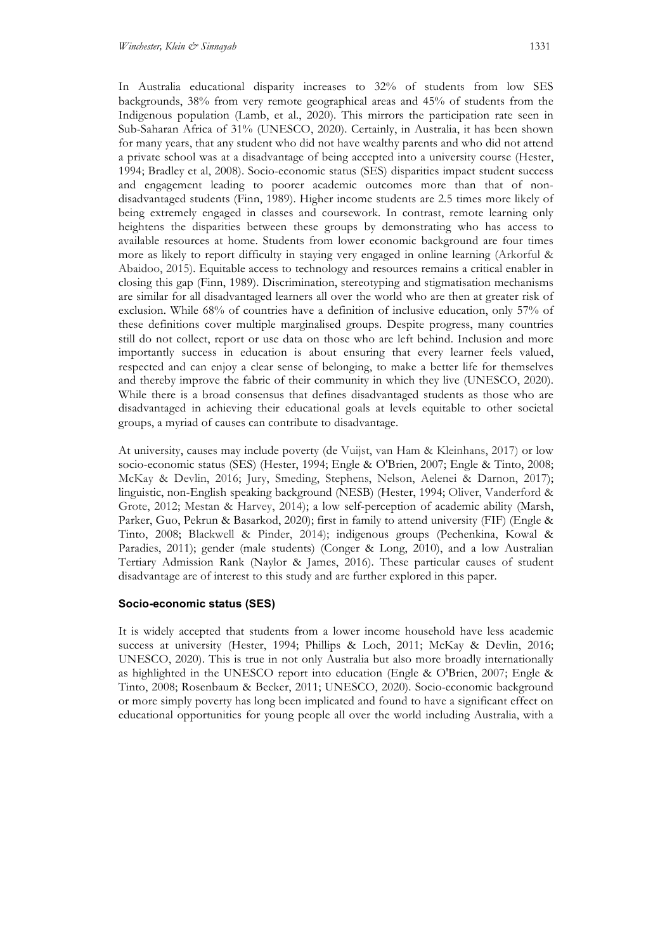In Australia educational disparity increases to 32% of students from low SES backgrounds, 38% from very remote geographical areas and 45% of students from the Indigenous population (Lamb, et al., 2020). This mirrors the participation rate seen in Sub-Saharan Africa of 31% (UNESCO, 2020). Certainly, in Australia, it has been shown for many years, that any student who did not have wealthy parents and who did not attend a private school was at a disadvantage of being accepted into a university course (Hester, 1994; Bradley et al, 2008). Socio-economic status (SES) disparities impact student success and engagement leading to poorer academic outcomes more than that of nondisadvantaged students (Finn, 1989). Higher income students are 2.5 times more likely of being extremely engaged in classes and coursework. In contrast, remote learning only heightens the disparities between these groups by demonstrating who has access to available resources at home. Students from lower economic background are four times more as likely to report difficulty in staying very engaged in online learning (Arkorful & Abaidoo, 2015). Equitable access to technology and resources remains a critical enabler in closing this gap (Finn, 1989). Discrimination, stereotyping and stigmatisation mechanisms are similar for all disadvantaged learners all over the world who are then at greater risk of exclusion. While 68% of countries have a definition of inclusive education, only 57% of these definitions cover multiple marginalised groups. Despite progress, many countries still do not collect, report or use data on those who are left behind. Inclusion and more importantly success in education is about ensuring that every learner feels valued, respected and can enjoy a clear sense of belonging, to make a better life for themselves and thereby improve the fabric of their community in which they live (UNESCO, 2020). While there is a broad consensus that defines disadvantaged students as those who are disadvantaged in achieving their educational goals at levels equitable to other societal groups, a myriad of causes can contribute to disadvantage.

At university, causes may include poverty (de Vuijst, van Ham & Kleinhans, 2017) or low socio-economic status (SES) (Hester, 1994; Engle & O'Brien, 2007; Engle & Tinto, 2008; McKay & Devlin, 2016; Jury, Smeding, Stephens, Nelson, Aelenei & Darnon, 2017); linguistic, non-English speaking background (NESB) (Hester, 1994; Oliver, Vanderford & Grote, 2012; Mestan & Harvey, 2014); a low self-perception of academic ability (Marsh, Parker, Guo, Pekrun & Basarkod, 2020); first in family to attend university (FIF) (Engle & Tinto, 2008; Blackwell & Pinder, 2014); indigenous groups (Pechenkina, Kowal & Paradies, 2011); gender (male students) (Conger & Long, 2010), and a low Australian Tertiary Admission Rank (Naylor & James, 2016). These particular causes of student disadvantage are of interest to this study and are further explored in this paper.

#### **Socio-economic status (SES)**

It is widely accepted that students from a lower income household have less academic success at university (Hester, 1994; Phillips & Loch, 2011; McKay & Devlin, 2016; UNESCO, 2020). This is true in not only Australia but also more broadly internationally as highlighted in the UNESCO report into education (Engle & O'Brien, 2007; Engle & Tinto, 2008; Rosenbaum & Becker, 2011; UNESCO, 2020). Socio-economic background or more simply poverty has long been implicated and found to have a significant effect on educational opportunities for young people all over the world including Australia, with a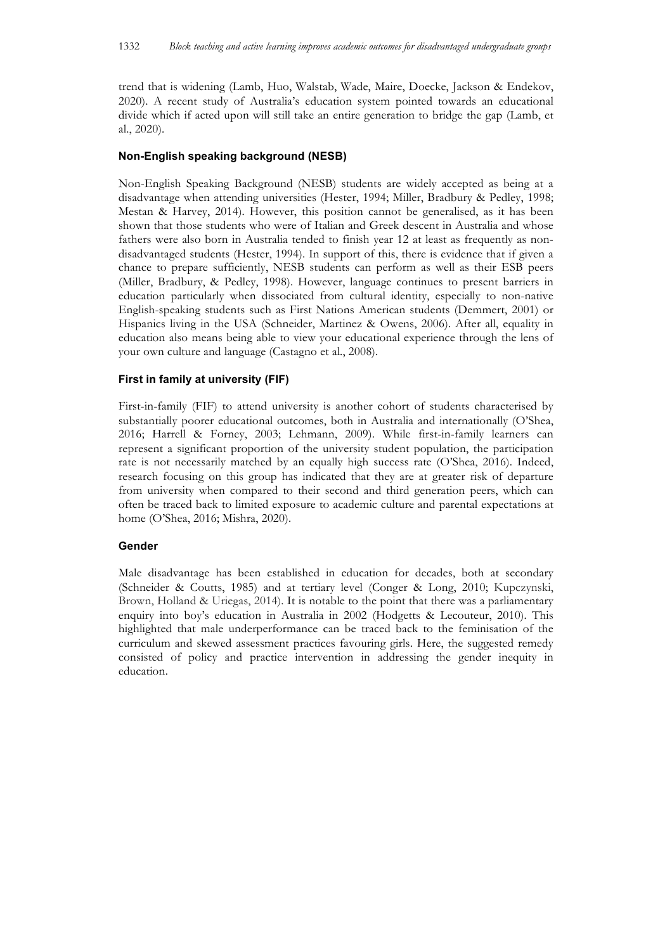trend that is widening (Lamb, Huo, Walstab, Wade, Maire, Doecke, Jackson & Endekov, 2020). A recent study of Australia's education system pointed towards an educational divide which if acted upon will still take an entire generation to bridge the gap (Lamb, et al., 2020).

## **Non-English speaking background (NESB)**

Non-English Speaking Background (NESB) students are widely accepted as being at a disadvantage when attending universities (Hester, 1994; Miller, Bradbury & Pedley, 1998; Mestan & Harvey, 2014). However, this position cannot be generalised, as it has been shown that those students who were of Italian and Greek descent in Australia and whose fathers were also born in Australia tended to finish year 12 at least as frequently as nondisadvantaged students (Hester, 1994). In support of this, there is evidence that if given a chance to prepare sufficiently, NESB students can perform as well as their ESB peers (Miller, Bradbury, & Pedley, 1998). However, language continues to present barriers in education particularly when dissociated from cultural identity, especially to non-native English-speaking students such as First Nations American students (Demmert, 2001) or Hispanics living in the USA (Schneider, Martinez & Owens, 2006). After all, equality in education also means being able to view your educational experience through the lens of your own culture and language (Castagno et al., 2008).

#### **First in family at university (FIF)**

First-in-family (FIF) to attend university is another cohort of students characterised by substantially poorer educational outcomes, both in Australia and internationally (O'Shea, 2016; Harrell & Forney, 2003; Lehmann, 2009). While first-in-family learners can represent a significant proportion of the university student population, the participation rate is not necessarily matched by an equally high success rate (O'Shea, 2016). Indeed, research focusing on this group has indicated that they are at greater risk of departure from university when compared to their second and third generation peers, which can often be traced back to limited exposure to academic culture and parental expectations at home (O'Shea, 2016; Mishra, 2020).

#### **Gender**

Male disadvantage has been established in education for decades, both at secondary (Schneider & Coutts, 1985) and at tertiary level (Conger & Long, 2010; Kupczynski, Brown, Holland & Uriegas, 2014). It is notable to the point that there was a parliamentary enquiry into boy's education in Australia in 2002 (Hodgetts & Lecouteur, 2010). This highlighted that male underperformance can be traced back to the feminisation of the curriculum and skewed assessment practices favouring girls. Here, the suggested remedy consisted of policy and practice intervention in addressing the gender inequity in education.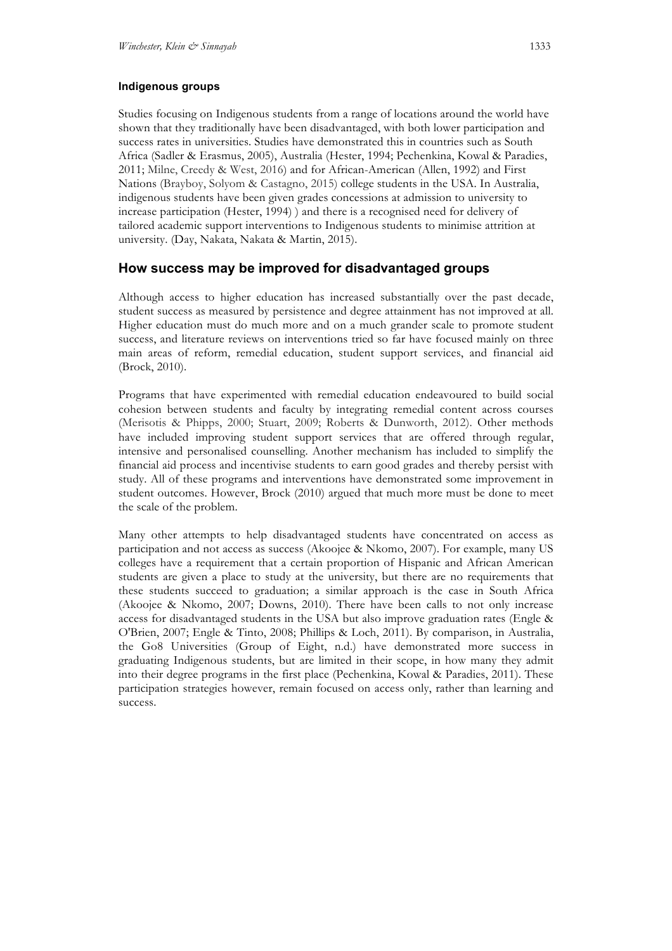### **Indigenous groups**

Studies focusing on Indigenous students from a range of locations around the world have shown that they traditionally have been disadvantaged, with both lower participation and success rates in universities. Studies have demonstrated this in countries such as South Africa (Sadler & Erasmus, 2005), Australia (Hester, 1994; Pechenkina, Kowal & Paradies, 2011; Milne, Creedy & West, 2016) and for African-American (Allen, 1992) and First Nations (Brayboy, Solyom & Castagno, 2015) college students in the USA. In Australia, indigenous students have been given grades concessions at admission to university to increase participation (Hester, 1994) ) and there is a recognised need for delivery of tailored academic support interventions to Indigenous students to minimise attrition at university. (Day, Nakata, Nakata & Martin, 2015).

# **How success may be improved for disadvantaged groups**

Although access to higher education has increased substantially over the past decade, student success as measured by persistence and degree attainment has not improved at all. Higher education must do much more and on a much grander scale to promote student success, and literature reviews on interventions tried so far have focused mainly on three main areas of reform, remedial education, student support services, and financial aid (Brock, 2010).

Programs that have experimented with remedial education endeavoured to build social cohesion between students and faculty by integrating remedial content across courses (Merisotis & Phipps, 2000; Stuart, 2009; Roberts & Dunworth, 2012). Other methods have included improving student support services that are offered through regular, intensive and personalised counselling. Another mechanism has included to simplify the financial aid process and incentivise students to earn good grades and thereby persist with study. All of these programs and interventions have demonstrated some improvement in student outcomes. However, Brock (2010) argued that much more must be done to meet the scale of the problem.

Many other attempts to help disadvantaged students have concentrated on access as participation and not access as success (Akoojee & Nkomo, 2007). For example, many US colleges have a requirement that a certain proportion of Hispanic and African American students are given a place to study at the university, but there are no requirements that these students succeed to graduation; a similar approach is the case in South Africa (Akoojee & Nkomo, 2007; Downs, 2010). There have been calls to not only increase access for disadvantaged students in the USA but also improve graduation rates (Engle & O'Brien, 2007; Engle & Tinto, 2008; Phillips & Loch, 2011). By comparison, in Australia, the Go8 Universities (Group of Eight, n.d.) have demonstrated more success in graduating Indigenous students, but are limited in their scope, in how many they admit into their degree programs in the first place (Pechenkina, Kowal & Paradies, 2011). These participation strategies however, remain focused on access only, rather than learning and success.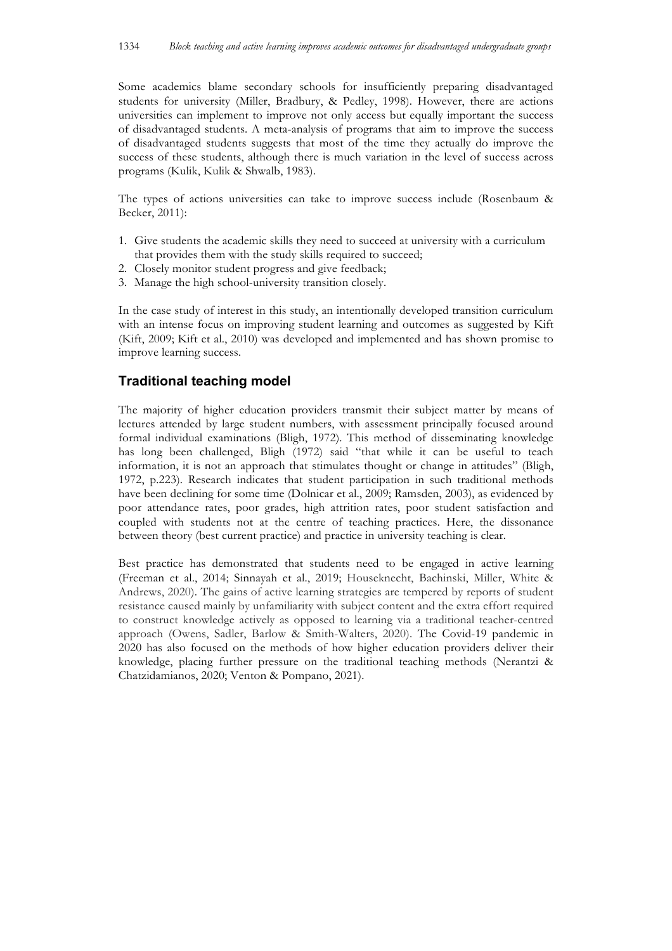Some academics blame secondary schools for insufficiently preparing disadvantaged students for university (Miller, Bradbury, & Pedley, 1998). However, there are actions universities can implement to improve not only access but equally important the success of disadvantaged students. A meta-analysis of programs that aim to improve the success of disadvantaged students suggests that most of the time they actually do improve the success of these students, although there is much variation in the level of success across programs (Kulik, Kulik & Shwalb, 1983).

The types of actions universities can take to improve success include (Rosenbaum & Becker, 2011):

- 1. Give students the academic skills they need to succeed at university with a curriculum that provides them with the study skills required to succeed;
- 2. Closely monitor student progress and give feedback;
- 3. Manage the high school-university transition closely.

In the case study of interest in this study, an intentionally developed transition curriculum with an intense focus on improving student learning and outcomes as suggested by Kift (Kift, 2009; Kift et al., 2010) was developed and implemented and has shown promise to improve learning success.

## **Traditional teaching model**

The majority of higher education providers transmit their subject matter by means of lectures attended by large student numbers, with assessment principally focused around formal individual examinations (Bligh, 1972). This method of disseminating knowledge has long been challenged, Bligh (1972) said "that while it can be useful to teach information, it is not an approach that stimulates thought or change in attitudes" (Bligh, 1972, p.223). Research indicates that student participation in such traditional methods have been declining for some time (Dolnicar et al., 2009; Ramsden, 2003), as evidenced by poor attendance rates, poor grades, high attrition rates, poor student satisfaction and coupled with students not at the centre of teaching practices. Here, the dissonance between theory (best current practice) and practice in university teaching is clear.

Best practice has demonstrated that students need to be engaged in active learning (Freeman et al., 2014; Sinnayah et al., 2019; Houseknecht, Bachinski, Miller, White & Andrews, 2020). The gains of active learning strategies are tempered by reports of student resistance caused mainly by unfamiliarity with subject content and the extra effort required to construct knowledge actively as opposed to learning via a traditional teacher-centred approach (Owens, Sadler, Barlow & Smith-Walters, 2020). The Covid-19 pandemic in 2020 has also focused on the methods of how higher education providers deliver their knowledge, placing further pressure on the traditional teaching methods (Nerantzi & Chatzidamianos, 2020; Venton & Pompano, 2021).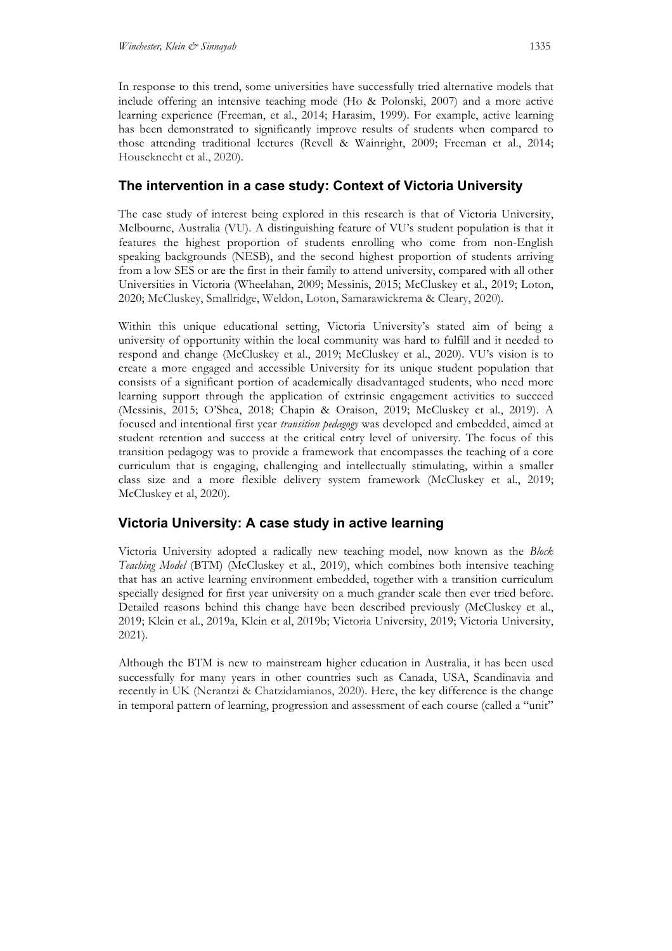In response to this trend, some universities have successfully tried alternative models that include offering an intensive teaching mode (Ho & Polonski, 2007) and a more active learning experience (Freeman, et al., 2014; Harasim, 1999). For example, active learning has been demonstrated to significantly improve results of students when compared to those attending traditional lectures (Revell & Wainright, 2009; Freeman et al., 2014; Houseknecht et al., 2020).

# **The intervention in a case study: Context of Victoria University**

The case study of interest being explored in this research is that of Victoria University, Melbourne, Australia (VU). A distinguishing feature of VU's student population is that it features the highest proportion of students enrolling who come from non-English speaking backgrounds (NESB), and the second highest proportion of students arriving from a low SES or are the first in their family to attend university, compared with all other Universities in Victoria (Wheelahan, 2009; Messinis, 2015; McCluskey et al., 2019; Loton, 2020; McCluskey, Smallridge, Weldon, Loton, Samarawickrema & Cleary, 2020).

Within this unique educational setting, Victoria University's stated aim of being a university of opportunity within the local community was hard to fulfill and it needed to respond and change (McCluskey et al., 2019; McCluskey et al., 2020). VU's vision is to create a more engaged and accessible University for its unique student population that consists of a significant portion of academically disadvantaged students, who need more learning support through the application of extrinsic engagement activities to succeed (Messinis, 2015; O'Shea, 2018; Chapin & Oraison, 2019; McCluskey et al., 2019). A focused and intentional first year *transition pedagogy* was developed and embedded, aimed at student retention and success at the critical entry level of university. The focus of this transition pedagogy was to provide a framework that encompasses the teaching of a core curriculum that is engaging, challenging and intellectually stimulating, within a smaller class size and a more flexible delivery system framework (McCluskey et al., 2019; McCluskey et al, 2020).

# **Victoria University: A case study in active learning**

Victoria University adopted a radically new teaching model, now known as the *Block Teaching Model* (BTM) (McCluskey et al., 2019), which combines both intensive teaching that has an active learning environment embedded, together with a transition curriculum specially designed for first year university on a much grander scale then ever tried before. Detailed reasons behind this change have been described previously (McCluskey et al., 2019; Klein et al., 2019a, Klein et al, 2019b; Victoria University, 2019; Victoria University, 2021).

Although the BTM is new to mainstream higher education in Australia, it has been used successfully for many years in other countries such as Canada, USA, Scandinavia and recently in UK (Nerantzi & Chatzidamianos, 2020). Here, the key difference is the change in temporal pattern of learning, progression and assessment of each course (called a "unit"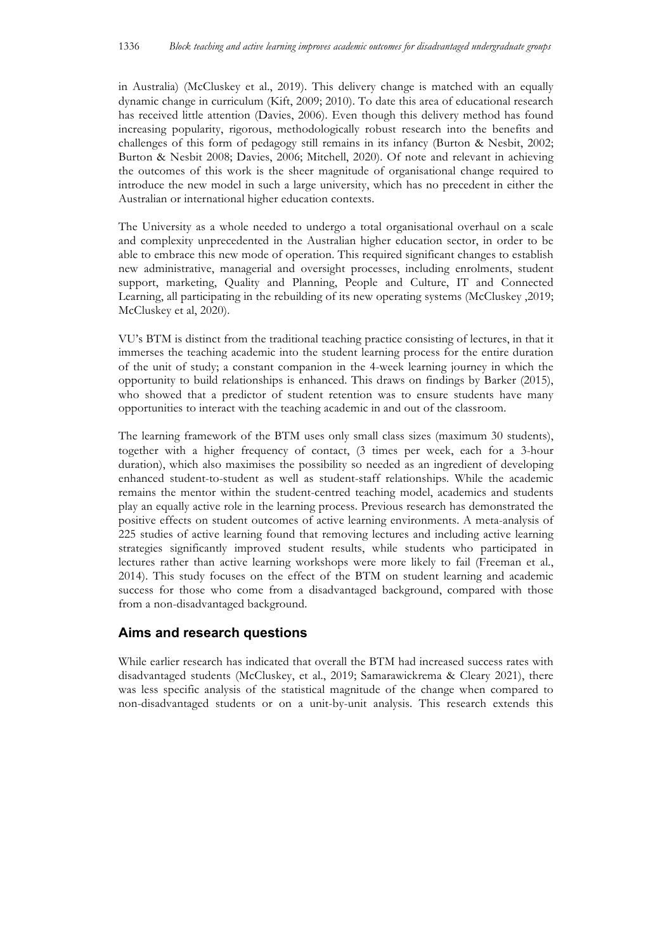in Australia) (McCluskey et al., 2019). This delivery change is matched with an equally dynamic change in curriculum (Kift, 2009; 2010). To date this area of educational research has received little attention (Davies, 2006). Even though this delivery method has found increasing popularity, rigorous, methodologically robust research into the benefits and challenges of this form of pedagogy still remains in its infancy (Burton & Nesbit, 2002; Burton & Nesbit 2008; Davies, 2006; Mitchell, 2020). Of note and relevant in achieving the outcomes of this work is the sheer magnitude of organisational change required to introduce the new model in such a large university, which has no precedent in either the Australian or international higher education contexts.

The University as a whole needed to undergo a total organisational overhaul on a scale and complexity unprecedented in the Australian higher education sector, in order to be able to embrace this new mode of operation. This required significant changes to establish new administrative, managerial and oversight processes, including enrolments, student support, marketing, Quality and Planning, People and Culture, IT and Connected Learning, all participating in the rebuilding of its new operating systems (McCluskey ,2019; McCluskey et al, 2020).

VU's BTM is distinct from the traditional teaching practice consisting of lectures, in that it immerses the teaching academic into the student learning process for the entire duration of the unit of study; a constant companion in the 4-week learning journey in which the opportunity to build relationships is enhanced. This draws on findings by Barker (2015), who showed that a predictor of student retention was to ensure students have many opportunities to interact with the teaching academic in and out of the classroom.

The learning framework of the BTM uses only small class sizes (maximum 30 students), together with a higher frequency of contact, (3 times per week, each for a 3-hour duration), which also maximises the possibility so needed as an ingredient of developing enhanced student-to-student as well as student-staff relationships. While the academic remains the mentor within the student-centred teaching model, academics and students play an equally active role in the learning process. Previous research has demonstrated the positive effects on student outcomes of active learning environments. A meta-analysis of 225 studies of active learning found that removing lectures and including active learning strategies significantly improved student results, while students who participated in lectures rather than active learning workshops were more likely to fail (Freeman et al., 2014). This study focuses on the effect of the BTM on student learning and academic success for those who come from a disadvantaged background, compared with those from a non-disadvantaged background.

## **Aims and research questions**

While earlier research has indicated that overall the BTM had increased success rates with disadvantaged students (McCluskey, et al., 2019; Samarawickrema & Cleary 2021), there was less specific analysis of the statistical magnitude of the change when compared to non-disadvantaged students or on a unit-by-unit analysis. This research extends this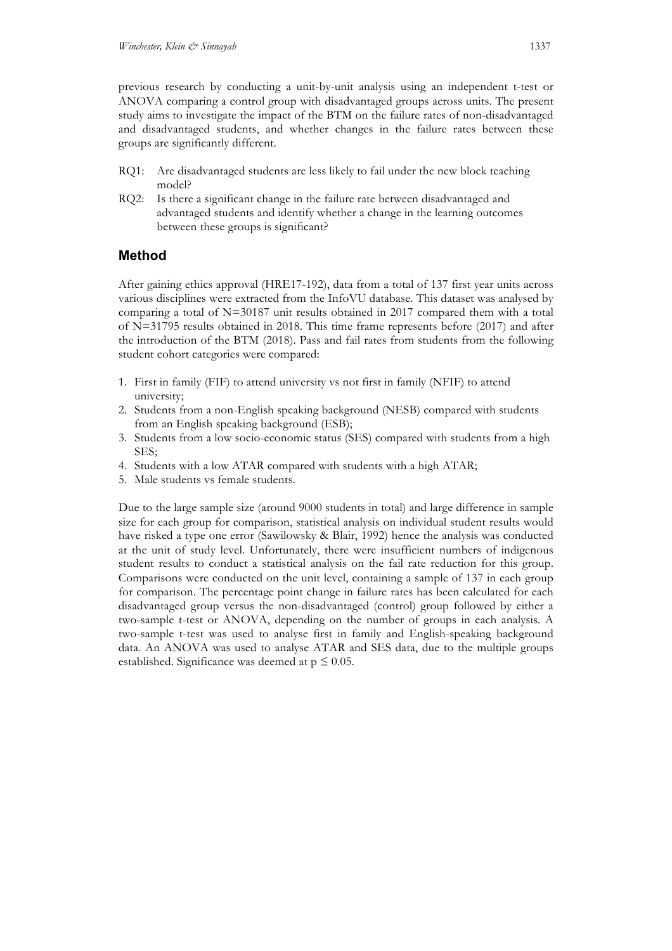previous research by conducting a unit-by-unit analysis using an independent t-test or ANOVA comparing a control group with disadvantaged groups across units. The present study aims to investigate the impact of the BTM on the failure rates of non-disadvantaged and disadvantaged students, and whether changes in the failure rates between these groups are significantly different.

- RQ1: Are disadvantaged students are less likely to fail under the new block teaching model?
- RQ2: Is there a significant change in the failure rate between disadvantaged and advantaged students and identify whether a change in the learning outcomes between these groups is significant?

# **Method**

After gaining ethics approval (HRE17-192), data from a total of 137 first year units across various disciplines were extracted from the InfoVU database. This dataset was analysed by comparing a total of N=30187 unit results obtained in 2017 compared them with a total of N=31795 results obtained in 2018. This time frame represents before (2017) and after the introduction of the BTM (2018). Pass and fail rates from students from the following student cohort categories were compared:

- 1. First in family (FIF) to attend university vs not first in family (NFIF) to attend university;
- 2. Students from a non-English speaking background (NESB) compared with students from an English speaking background (ESB);
- 3. Students from a low socio-economic status (SES) compared with students from a high SES;
- 4. Students with a low ATAR compared with students with a high ATAR;
- 5. Male students vs female students.

Due to the large sample size (around 9000 students in total) and large difference in sample size for each group for comparison, statistical analysis on individual student results would have risked a type one error (Sawilowsky & Blair, 1992) hence the analysis was conducted at the unit of study level. Unfortunately, there were insufficient numbers of indigenous student results to conduct a statistical analysis on the fail rate reduction for this group. Comparisons were conducted on the unit level, containing a sample of 137 in each group for comparison. The percentage point change in failure rates has been calculated for each disadvantaged group versus the non-disadvantaged (control) group followed by either a two-sample t-test or ANOVA, depending on the number of groups in each analysis. A two-sample t-test was used to analyse first in family and English-speaking background data. An ANOVA was used to analyse ATAR and SES data, due to the multiple groups established. Significance was deemed at  $p \leq 0.05$ .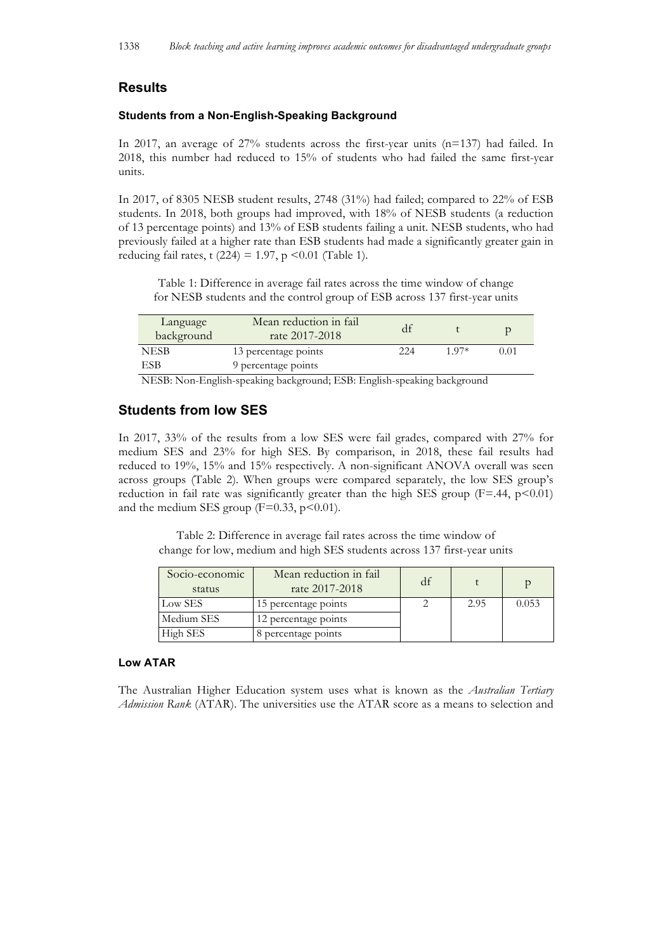# **Results**

### **Students from a Non-English-Speaking Background**

In 2017, an average of 27% students across the first-year units (n=137) had failed. In 2018, this number had reduced to 15% of students who had failed the same first-year units.

In 2017, of 8305 NESB student results, 2748 (31%) had failed; compared to 22% of ESB students. In 2018, both groups had improved, with 18% of NESB students (a reduction of 13 percentage points) and 13% of ESB students failing a unit. NESB students, who had previously failed at a higher rate than ESB students had made a significantly greater gain in reducing fail rates, t (224) = 1.97, p < 0.01 (Table 1).

Table 1: Difference in average fail rates across the time window of change for NESB students and the control group of ESB across 137 first-year units

| Language<br>background | Mean reduction in fail<br>rate 2017-2018 |      |         |      |
|------------------------|------------------------------------------|------|---------|------|
| NESB                   | 13 percentage points                     | 22.4 | 1 $97*$ | ).01 |
| <b>ESB</b>             | 9 percentage points                      |      |         |      |
| _ __ _ _               | .                                        | -- - | .       |      |

NESB: Non-English-speaking background; ESB: English-speaking background

## **Students from low SES**

In 2017, 33% of the results from a low SES were fail grades, compared with 27% for medium SES and 23% for high SES. By comparison, in 2018, these fail results had reduced to 19%, 15% and 15% respectively. A non-significant ANOVA overall was seen across groups (Table 2). When groups were compared separately, the low SES group's reduction in fail rate was significantly greater than the high SES group  $(F=44, p<0.01)$ and the medium SES group ( $F=0.33$ ,  $p<0.01$ ).

Table 2: Difference in average fail rates across the time window of change for low, medium and high SES students across 137 first-year units

| Socio-economic<br>status | Mean reduction in fail<br>rate 2017-2018 |      |       |
|--------------------------|------------------------------------------|------|-------|
| Low SES                  | 15 percentage points                     | 2.95 | 0.053 |
| Medium SES               | 12 percentage points                     |      |       |
| High SES                 | 8 percentage points                      |      |       |

### **Low ATAR**

The Australian Higher Education system uses what is known as the *Australian Tertiary Admission Rank* (ATAR). The universities use the ATAR score as a means to selection and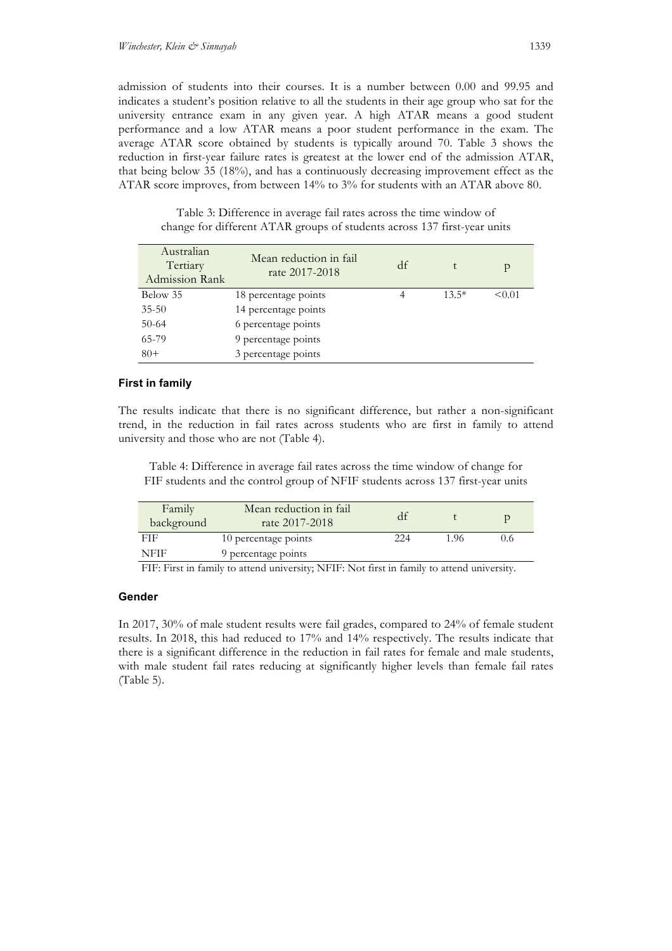admission of students into their courses. It is a number between 0.00 and 99.95 and indicates a student's position relative to all the students in their age group who sat for the university entrance exam in any given year. A high ATAR means a good student performance and a low ATAR means a poor student performance in the exam. The average ATAR score obtained by students is typically around 70. Table 3 shows the reduction in first-year failure rates is greatest at the lower end of the admission ATAR, that being below 35 (18%), and has a continuously decreasing improvement effect as the ATAR score improves, from between 14% to 3% for students with an ATAR above 80.

Table 3: Difference in average fail rates across the time window of change for different ATAR groups of students across 137 first-year units

| Australian<br>Tertiary<br>Admission Rank | Mean reduction in fail<br>rate 2017-2018 | df |         | р      |
|------------------------------------------|------------------------------------------|----|---------|--------|
| Below 35                                 | 18 percentage points                     |    | $13.5*$ | < 0.01 |
| $35 - 50$                                | 14 percentage points                     |    |         |        |
| $50-64$                                  | 6 percentage points                      |    |         |        |
| 65-79                                    | 9 percentage points                      |    |         |        |
| $80+$                                    | 3 percentage points                      |    |         |        |

## **First in family**

The results indicate that there is no significant difference, but rather a non-significant trend, in the reduction in fail rates across students who are first in family to attend university and those who are not (Table 4).

Table 4: Difference in average fail rates across the time window of change for FIF students and the control group of NFIF students across 137 first-year units

| Family<br>background | Mean reduction in fail<br>rate 2017-2018 |     |      |     |
|----------------------|------------------------------------------|-----|------|-----|
| FIF                  | 10 percentage points                     | 224 | 1.96 | 0.6 |
| NFIF                 | 9 percentage points                      |     |      |     |

FIF: First in family to attend university; NFIF: Not first in family to attend university.

### **Gender**

In 2017, 30% of male student results were fail grades, compared to 24% of female student results. In 2018, this had reduced to 17% and 14% respectively. The results indicate that there is a significant difference in the reduction in fail rates for female and male students, with male student fail rates reducing at significantly higher levels than female fail rates (Table 5).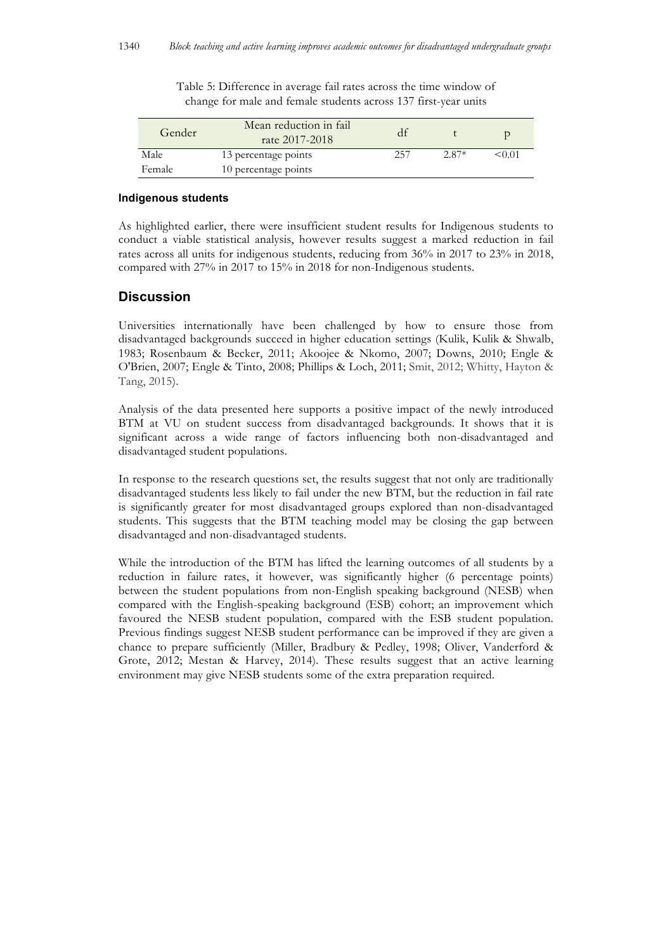| Gender | Mean reduction in fail<br>rate 2017-2018 |     |         |        |
|--------|------------------------------------------|-----|---------|--------|
| Male   | 13 percentage points                     | 257 | $2.87*$ | < 0.01 |
| Female | 10 percentage points                     |     |         |        |

Table 5: Difference in average fail rates across the time window of change for male and female students across 137 first-year units

#### **Indigenous students**

As highlighted earlier, there were insufficient student results for Indigenous students to conduct a viable statistical analysis, however results suggest a marked reduction in fail rates across all units for indigenous students, reducing from 36% in 2017 to 23% in 2018, compared with 27% in 2017 to 15% in 2018 for non-Indigenous students.

## **Discussion**

Universities internationally have been challenged by how to ensure those from disadvantaged backgrounds succeed in higher education settings (Kulik, Kulik & Shwalb, 1983; Rosenbaum & Becker, 2011; Akoojee & Nkomo, 2007; Downs, 2010; Engle & O'Brien, 2007; Engle & Tinto, 2008; Phillips & Loch, 2011; Smit, 2012; Whitty, Hayton & Tang, 2015).

Analysis of the data presented here supports a positive impact of the newly introduced BTM at VU on student success from disadvantaged backgrounds. It shows that it is significant across a wide range of factors influencing both non-disadvantaged and disadvantaged student populations.

In response to the research questions set, the results suggest that not only are traditionally disadvantaged students less likely to fail under the new BTM, but the reduction in fail rate is significantly greater for most disadvantaged groups explored than non-disadvantaged students. This suggests that the BTM teaching model may be closing the gap between disadvantaged and non-disadvantaged students.

While the introduction of the BTM has lifted the learning outcomes of all students by a reduction in failure rates, it however, was significantly higher (6 percentage points) between the student populations from non-English speaking background (NESB) when compared with the English-speaking background (ESB) cohort; an improvement which favoured the NESB student population, compared with the ESB student population. Previous findings suggest NESB student performance can be improved if they are given a chance to prepare sufficiently (Miller, Bradbury & Pedley, 1998; Oliver, Vanderford & Grote, 2012; Mestan & Harvey, 2014). These results suggest that an active learning environment may give NESB students some of the extra preparation required.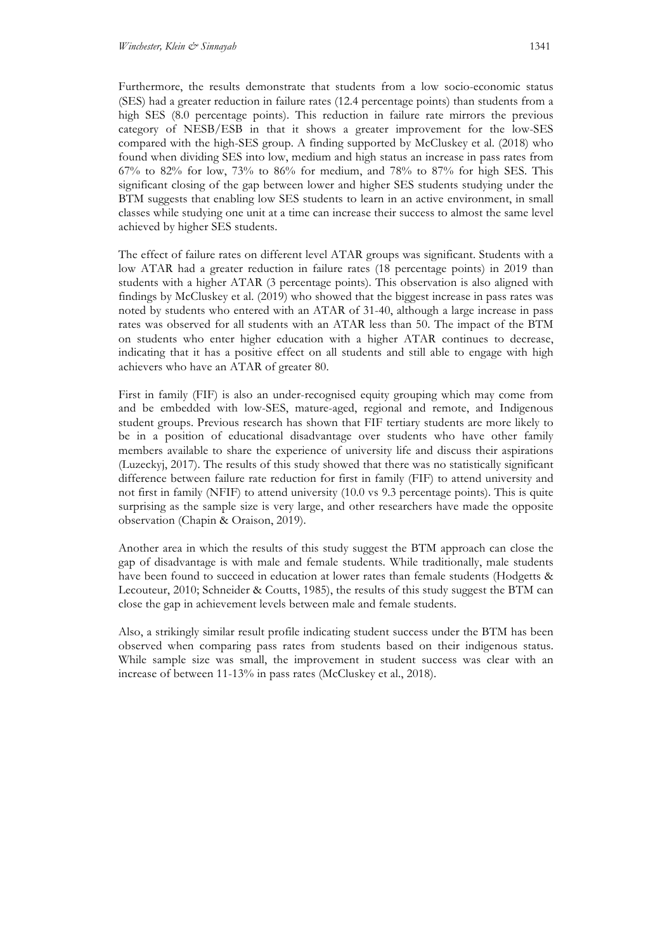Furthermore, the results demonstrate that students from a low socio-economic status (SES) had a greater reduction in failure rates (12.4 percentage points) than students from a high SES (8.0 percentage points). This reduction in failure rate mirrors the previous category of NESB/ESB in that it shows a greater improvement for the low-SES compared with the high-SES group. A finding supported by McCluskey et al. (2018) who found when dividing SES into low, medium and high status an increase in pass rates from 67% to 82% for low,  $73\%$  to 86% for medium, and 78% to 87% for high SES. This significant closing of the gap between lower and higher SES students studying under the BTM suggests that enabling low SES students to learn in an active environment, in small classes while studying one unit at a time can increase their success to almost the same level achieved by higher SES students.

The effect of failure rates on different level ATAR groups was significant. Students with a low ATAR had a greater reduction in failure rates (18 percentage points) in 2019 than students with a higher ATAR (3 percentage points). This observation is also aligned with findings by McCluskey et al. (2019) who showed that the biggest increase in pass rates was noted by students who entered with an ATAR of 31-40, although a large increase in pass rates was observed for all students with an ATAR less than 50. The impact of the BTM on students who enter higher education with a higher ATAR continues to decrease, indicating that it has a positive effect on all students and still able to engage with high achievers who have an ATAR of greater 80.

First in family (FIF) is also an under-recognised equity grouping which may come from and be embedded with low-SES, mature-aged, regional and remote, and Indigenous student groups. Previous research has shown that FIF tertiary students are more likely to be in a position of educational disadvantage over students who have other family members available to share the experience of university life and discuss their aspirations (Luzeckyj, 2017). The results of this study showed that there was no statistically significant difference between failure rate reduction for first in family (FIF) to attend university and not first in family (NFIF) to attend university (10.0 vs 9.3 percentage points). This is quite surprising as the sample size is very large, and other researchers have made the opposite observation (Chapin & Oraison, 2019).

Another area in which the results of this study suggest the BTM approach can close the gap of disadvantage is with male and female students. While traditionally, male students have been found to succeed in education at lower rates than female students (Hodgetts & Lecouteur, 2010; Schneider & Coutts, 1985), the results of this study suggest the BTM can close the gap in achievement levels between male and female students.

Also, a strikingly similar result profile indicating student success under the BTM has been observed when comparing pass rates from students based on their indigenous status. While sample size was small, the improvement in student success was clear with an increase of between 11-13% in pass rates (McCluskey et al., 2018).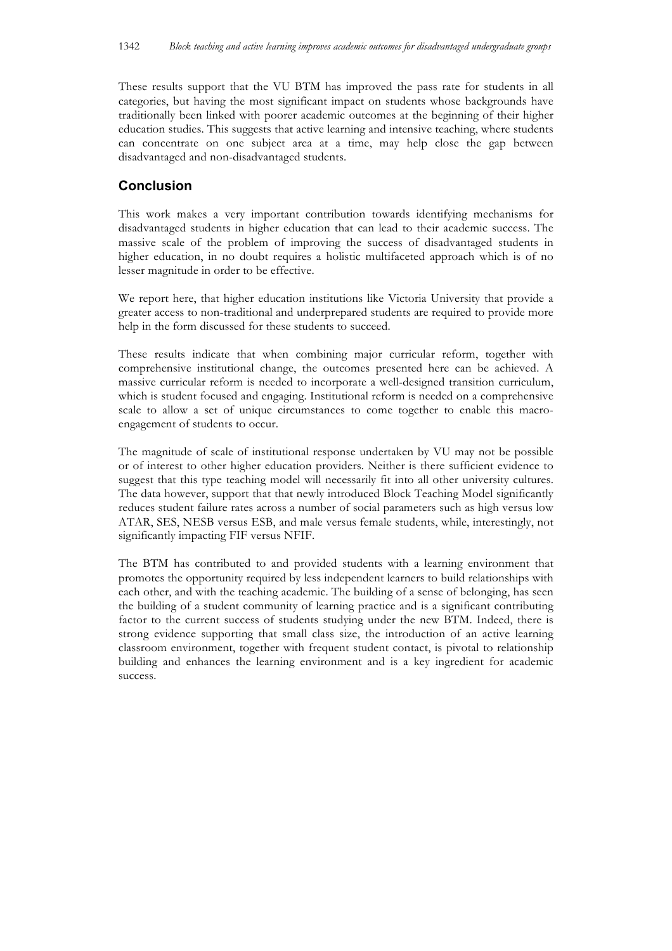These results support that the VU BTM has improved the pass rate for students in all categories, but having the most significant impact on students whose backgrounds have traditionally been linked with poorer academic outcomes at the beginning of their higher education studies. This suggests that active learning and intensive teaching, where students can concentrate on one subject area at a time, may help close the gap between disadvantaged and non-disadvantaged students.

# **Conclusion**

This work makes a very important contribution towards identifying mechanisms for disadvantaged students in higher education that can lead to their academic success. The massive scale of the problem of improving the success of disadvantaged students in higher education, in no doubt requires a holistic multifaceted approach which is of no lesser magnitude in order to be effective.

We report here, that higher education institutions like Victoria University that provide a greater access to non-traditional and underprepared students are required to provide more help in the form discussed for these students to succeed.

These results indicate that when combining major curricular reform, together with comprehensive institutional change, the outcomes presented here can be achieved. A massive curricular reform is needed to incorporate a well-designed transition curriculum, which is student focused and engaging. Institutional reform is needed on a comprehensive scale to allow a set of unique circumstances to come together to enable this macroengagement of students to occur.

The magnitude of scale of institutional response undertaken by VU may not be possible or of interest to other higher education providers. Neither is there sufficient evidence to suggest that this type teaching model will necessarily fit into all other university cultures. The data however, support that that newly introduced Block Teaching Model significantly reduces student failure rates across a number of social parameters such as high versus low ATAR, SES, NESB versus ESB, and male versus female students, while, interestingly, not significantly impacting FIF versus NFIF.

The BTM has contributed to and provided students with a learning environment that promotes the opportunity required by less independent learners to build relationships with each other, and with the teaching academic. The building of a sense of belonging, has seen the building of a student community of learning practice and is a significant contributing factor to the current success of students studying under the new BTM. Indeed, there is strong evidence supporting that small class size, the introduction of an active learning classroom environment, together with frequent student contact, is pivotal to relationship building and enhances the learning environment and is a key ingredient for academic success.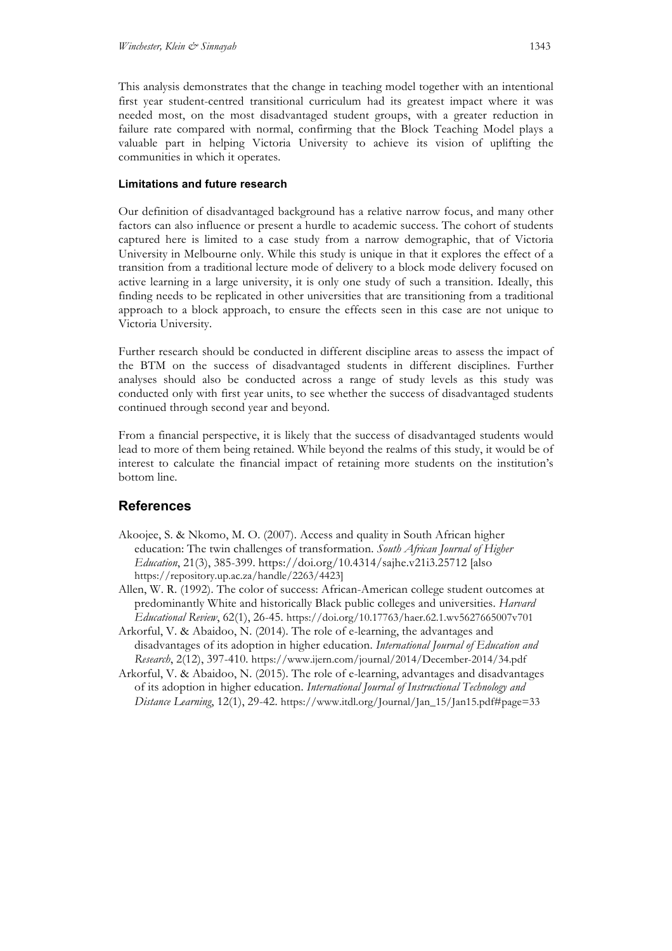This analysis demonstrates that the change in teaching model together with an intentional first year student-centred transitional curriculum had its greatest impact where it was needed most, on the most disadvantaged student groups, with a greater reduction in failure rate compared with normal, confirming that the Block Teaching Model plays a valuable part in helping Victoria University to achieve its vision of uplifting the communities in which it operates.

### **Limitations and future research**

Our definition of disadvantaged background has a relative narrow focus, and many other factors can also influence or present a hurdle to academic success. The cohort of students captured here is limited to a case study from a narrow demographic, that of Victoria University in Melbourne only. While this study is unique in that it explores the effect of a transition from a traditional lecture mode of delivery to a block mode delivery focused on active learning in a large university, it is only one study of such a transition. Ideally, this finding needs to be replicated in other universities that are transitioning from a traditional approach to a block approach, to ensure the effects seen in this case are not unique to Victoria University.

Further research should be conducted in different discipline areas to assess the impact of the BTM on the success of disadvantaged students in different disciplines. Further analyses should also be conducted across a range of study levels as this study was conducted only with first year units, to see whether the success of disadvantaged students continued through second year and beyond.

From a financial perspective, it is likely that the success of disadvantaged students would lead to more of them being retained. While beyond the realms of this study, it would be of interest to calculate the financial impact of retaining more students on the institution's bottom line.

# **References**

- Akoojee, S. & Nkomo, M. O. (2007). Access and quality in South African higher education: The twin challenges of transformation. *South African Journal of Higher Education*, 21(3), 385-399. https://doi.org/10.4314/sajhe.v21i3.25712 [also https://repository.up.ac.za/handle/2263/4423]
- Allen, W. R. (1992). The color of success: African-American college student outcomes at predominantly White and historically Black public colleges and universities. *Harvard Educational Review*, 62(1), 26-45. https://doi.org/10.17763/haer.62.1.wv5627665007v701
- Arkorful, V. & Abaidoo, N. (2014). The role of e-learning, the advantages and disadvantages of its adoption in higher education. *International Journal of Education and Research*, 2(12), 397-410. https://www.ijern.com/journal/2014/December-2014/34.pdf
- Arkorful, V. & Abaidoo, N. (2015). The role of e-learning, advantages and disadvantages of its adoption in higher education. *International Journal of Instructional Technology and Distance Learning*, 12(1), 29-42. https://www.itdl.org/Journal/Jan\_15/Jan15.pdf#page=33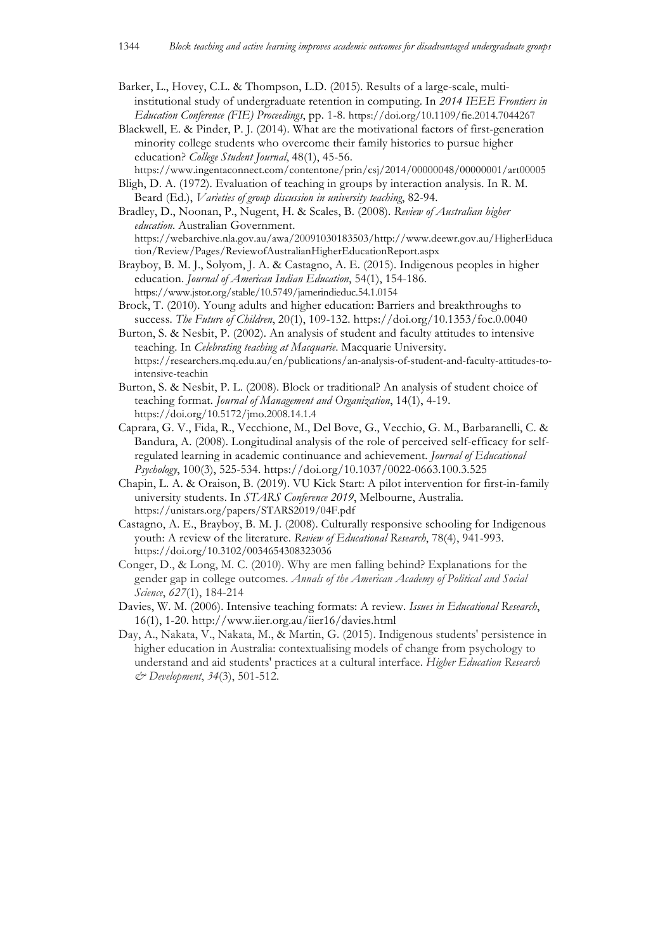- Barker, L., Hovey, C.L. & Thompson, L.D. (2015). Results of a large-scale, multiinstitutional study of undergraduate retention in computing. In *2014 IEEE Frontiers in Education Conference (FIE) Proceedings*, pp. 1-8. https://doi.org/10.1109/fie.2014.7044267
- Blackwell, E. & Pinder, P. J. (2014). What are the motivational factors of first-generation minority college students who overcome their family histories to pursue higher education? *College Student Journal*, 48(1), 45-56.
- https://www.ingentaconnect.com/contentone/prin/csj/2014/00000048/00000001/art00005 Bligh, D. A. (1972). Evaluation of teaching in groups by interaction analysis. In R. M.
- Beard (Ed.), *Varieties of group discussion in university teaching*, 82-94. Bradley, D., Noonan, P., Nugent, H. & Scales, B. (2008). *Review of Australian higher*
- *education*. Australian Government. https://webarchive.nla.gov.au/awa/20091030183503/http://www.deewr.gov.au/HigherEduca tion/Review/Pages/ReviewofAustralianHigherEducationReport.aspx
- Brayboy, B. M. J., Solyom, J. A. & Castagno, A. E. (2015). Indigenous peoples in higher education. *Journal of American Indian Education*, 54(1), 154-186. https://www.jstor.org/stable/10.5749/jamerindieduc.54.1.0154
- Brock, T. (2010). Young adults and higher education: Barriers and breakthroughs to success. *The Future of Children*, 20(1), 109-132. https://doi.org/10.1353/foc.0.0040
- Burton, S. & Nesbit, P. (2002). An analysis of student and faculty attitudes to intensive teaching. In *Celebrating teaching at Macquarie*. Macquarie University. https://researchers.mq.edu.au/en/publications/an-analysis-of-student-and-faculty-attitudes-tointensive-teachin
- Burton, S. & Nesbit, P. L. (2008). Block or traditional? An analysis of student choice of teaching format. *Journal of Management and Organization*, 14(1), 4-19. https://doi.org/10.5172/jmo.2008.14.1.4
- Caprara, G. V., Fida, R., Vecchione, M., Del Bove, G., Vecchio, G. M., Barbaranelli, C. & Bandura, A. (2008). Longitudinal analysis of the role of perceived self-efficacy for selfregulated learning in academic continuance and achievement. *Journal of Educational Psychology*, 100(3), 525-534. https://doi.org/10.1037/0022-0663.100.3.525
- Chapin, L. A. & Oraison, B. (2019). VU Kick Start: A pilot intervention for first-in-family university students. In *STARS Conference 2019*, Melbourne, Australia. https://unistars.org/papers/STARS2019/04F.pdf
- Castagno, A. E., Brayboy, B. M. J. (2008). Culturally responsive schooling for Indigenous youth: A review of the literature. *Review of Educational Research*, 78(4), 941-993. https://doi.org/10.3102/0034654308323036
- Conger, D., & Long, M. C. (2010). Why are men falling behind? Explanations for the gender gap in college outcomes. *Annals of the American Academy of Political and Social Science*, *627*(1), 184-214
- Davies, W. M. (2006). Intensive teaching formats: A review. *Issues in Educational Research*, 16(1), 1-20. http://www.iier.org.au/iier16/davies.html
- Day, A., Nakata, V., Nakata, M., & Martin, G. (2015). Indigenous students' persistence in higher education in Australia: contextualising models of change from psychology to understand and aid students' practices at a cultural interface. *Higher Education Research & Development*, *34*(3), 501-512.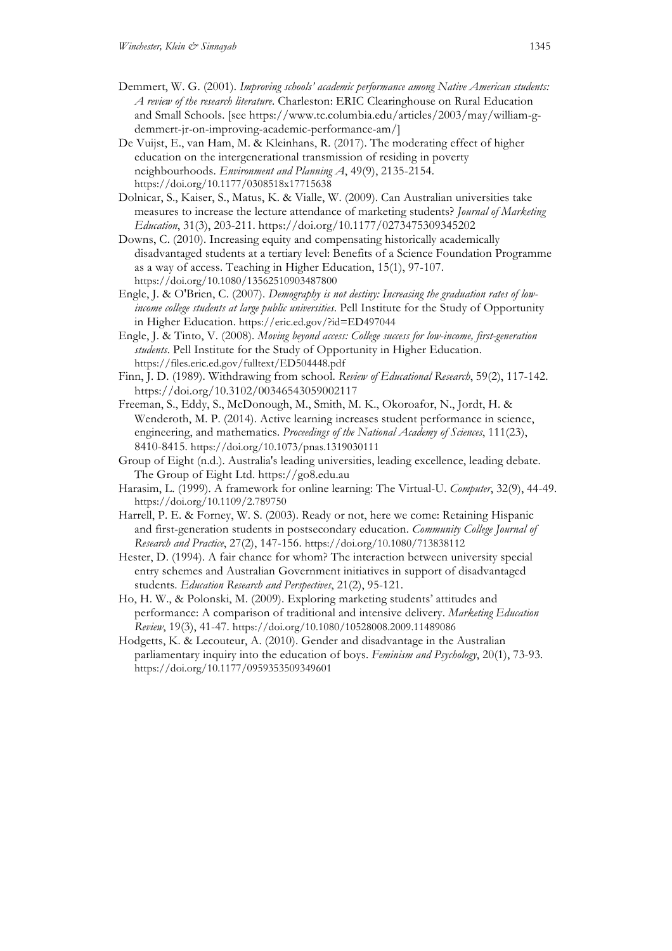- Demmert, W. G. (2001). *Improving schools' academic performance among Native American students: A review of the research literature*. Charleston: ERIC Clearinghouse on Rural Education and Small Schools. [see https://www.tc.columbia.edu/articles/2003/may/william-gdemmert-jr-on-improving-academic-performance-am/]
- De Vuijst, E., van Ham, M. & Kleinhans, R. (2017). The moderating effect of higher education on the intergenerational transmission of residing in poverty neighbourhoods. *Environment and Planning A*, 49(9), 2135-2154. https://doi.org/10.1177/0308518x17715638
- Dolnicar, S., Kaiser, S., Matus, K. & Vialle, W. (2009). Can Australian universities take measures to increase the lecture attendance of marketing students? *Journal of Marketing Education*, 31(3), 203-211. https://doi.org/10.1177/0273475309345202
- Downs, C. (2010). Increasing equity and compensating historically academically disadvantaged students at a tertiary level: Benefits of a Science Foundation Programme as a way of access. Teaching in Higher Education, 15(1), 97-107. https://doi.org/10.1080/13562510903487800
- Engle, J. & O'Brien, C. (2007). *Demography is not destiny: Increasing the graduation rates of lowincome college students at large public universities*. Pell Institute for the Study of Opportunity in Higher Education. https://eric.ed.gov/?id=ED497044
- Engle, J. & Tinto, V. (2008). *Moving beyond access: College success for low-income, first-generation students*. Pell Institute for the Study of Opportunity in Higher Education. https://files.eric.ed.gov/fulltext/ED504448.pdf
- Finn, J. D. (1989). Withdrawing from school. *Review of Educational Research*, 59(2), 117-142. https://doi.org/10.3102/00346543059002117
- Freeman, S., Eddy, S., McDonough, M., Smith, M. K., Okoroafor, N., Jordt, H. & Wenderoth, M. P. (2014). Active learning increases student performance in science, engineering, and mathematics. *Proceedings of the National Academy of Sciences*, 111(23), 8410-8415. https://doi.org/10.1073/pnas.1319030111
- Group of Eight (n.d.). Australia's leading universities, leading excellence, leading debate. The Group of Eight Ltd. https://go8.edu.au
- Harasim, L. (1999). A framework for online learning: The Virtual-U. *Computer*, 32(9), 44-49. https://doi.org/10.1109/2.789750
- Harrell, P. E. & Forney, W. S. (2003). Ready or not, here we come: Retaining Hispanic and first-generation students in postsecondary education. *Community College Journal of Research and Practice*, 27(2), 147-156. https://doi.org/10.1080/713838112
- Hester, D. (1994). A fair chance for whom? The interaction between university special entry schemes and Australian Government initiatives in support of disadvantaged students. *Education Research and Perspectives*, 21(2), 95-121.
- Ho, H. W., & Polonski, M. (2009). Exploring marketing students' attitudes and performance: A comparison of traditional and intensive delivery. *Marketing Education Review*, 19(3), 41-47. https://doi.org/10.1080/10528008.2009.11489086
- Hodgetts, K. & Lecouteur, A. (2010). Gender and disadvantage in the Australian parliamentary inquiry into the education of boys. *Feminism and Psychology*, 20(1), 73-93. https://doi.org/10.1177/0959353509349601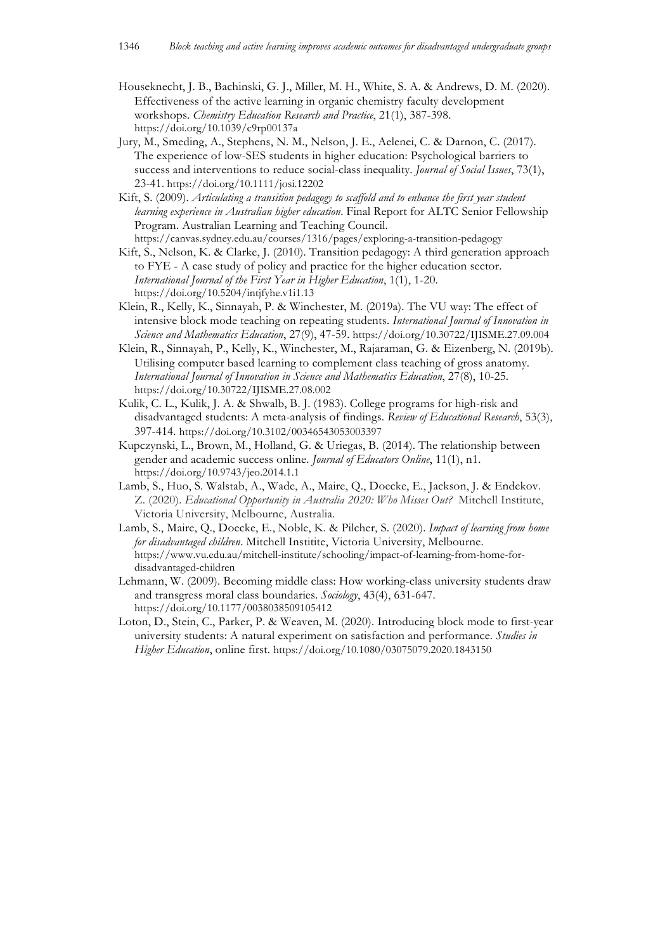- Houseknecht, J. B., Bachinski, G. J., Miller, M. H., White, S. A. & Andrews, D. M. (2020). Effectiveness of the active learning in organic chemistry faculty development workshops. *Chemistry Education Research and Practice*, 21(1), 387-398. https://doi.org/10.1039/c9rp00137a
- Jury, M., Smeding, A., Stephens, N. M., Nelson, J. E., Aelenei, C. & Darnon, C. (2017). The experience of low-SES students in higher education: Psychological barriers to success and interventions to reduce social-class inequality. *Journal of Social Issues*, 73(1), 23-41. https://doi.org/10.1111/josi.12202
- Kift, S. (2009). *Articulating a transition pedagogy to scaffold and to enhance the first year student learning experience in Australian higher education*. Final Report for ALTC Senior Fellowship Program. Australian Learning and Teaching Council.
- https://canvas.sydney.edu.au/courses/1316/pages/exploring-a-transition-pedagogy Kift, S., Nelson, K. & Clarke, J. (2010). Transition pedagogy: A third generation approach to FYE - A case study of policy and practice for the higher education sector. *International Journal of the First Year in Higher Education*, 1(1), 1-20. https://doi.org/10.5204/intjfyhe.v1i1.13
- Klein, R., Kelly, K., Sinnayah, P. & Winchester, M. (2019a). The VU way: The effect of intensive block mode teaching on repeating students. *International Journal of Innovation in Science and Mathematics Education*, 27(9), 47-59. https://doi.org/10.30722/IJISME.27.09.004
- Klein, R., Sinnayah, P., Kelly, K., Winchester, M., Rajaraman, G. & Eizenberg, N. (2019b). Utilising computer based learning to complement class teaching of gross anatomy. *International Journal of Innovation in Science and Mathematics Education*, 27(8), 10-25. https://doi.org/10.30722/IJISME.27.08.002
- Kulik, C. L., Kulik, J. A. & Shwalb, B. J. (1983). College programs for high-risk and disadvantaged students: A meta-analysis of findings. *Review of Educational Research*, 53(3), 397-414. https://doi.org/10.3102/00346543053003397
- Kupczynski, L., Brown, M., Holland, G. & Uriegas, B. (2014). The relationship between gender and academic success online. *Journal of Educators Online*, 11(1), n1. https://doi.org/10.9743/jeo.2014.1.1
- Lamb, S., Huo, S. Walstab, A., Wade, A., Maire, Q., Doecke, E., Jackson, J. & Endekov. Z. (2020). *Educational Opportunity in Australia 2020: Who Misses Out?* Mitchell Institute, Victoria University, Melbourne, Australia.
- Lamb, S., Maire, Q., Doecke, E., Noble, K. & Pilcher, S. (2020). *Impact of learning from home for disadvantaged children*. Mitchell Institite, Victoria University, Melbourne. https://www.vu.edu.au/mitchell-institute/schooling/impact-of-learning-from-home-fordisadvantaged-children
- Lehmann, W. (2009). Becoming middle class: How working-class university students draw and transgress moral class boundaries. *Sociology*, 43(4), 631-647. https://doi.org/10.1177/0038038509105412
- Loton, D., Stein, C., Parker, P. & Weaven, M. (2020). Introducing block mode to first-year university students: A natural experiment on satisfaction and performance. *Studies in Higher Education*, online first. https://doi.org/10.1080/03075079.2020.1843150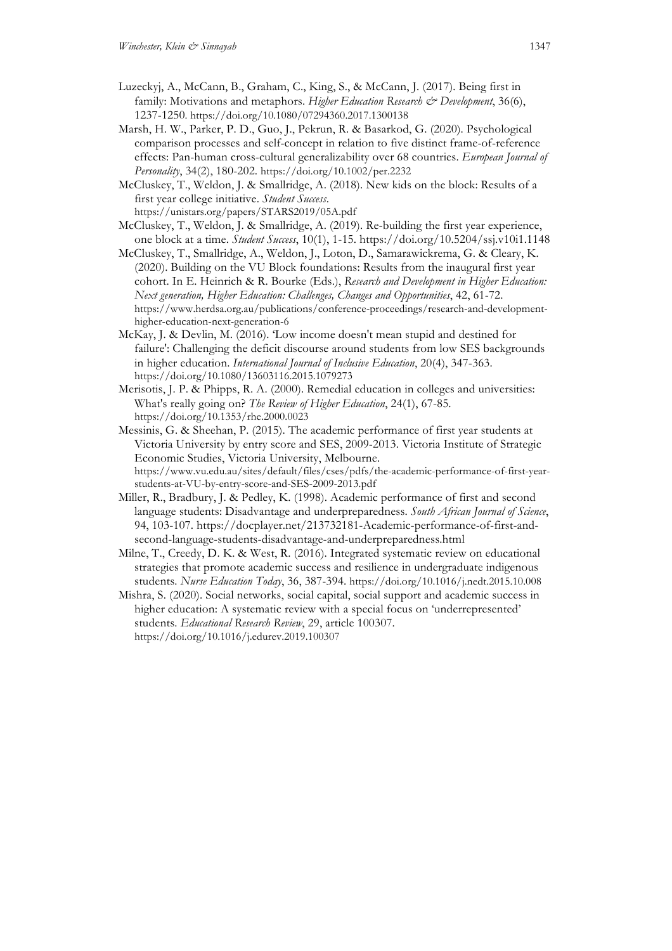- Luzeckyj, A., McCann, B., Graham, C., King, S., & McCann, J. (2017). Being first in family: Motivations and metaphors. *Higher Education Research & Development*, 36(6), 1237-1250. https://doi.org/10.1080/07294360.2017.1300138
- Marsh, H. W., Parker, P. D., Guo, J., Pekrun, R. & Basarkod, G. (2020). Psychological comparison processes and self-concept in relation to five distinct frame-of-reference effects: Pan-human cross-cultural generalizability over 68 countries. *European Journal of Personality*, 34(2), 180-202. https://doi.org/10.1002/per.2232
- McCluskey, T., Weldon, J. & Smallridge, A. (2018). New kids on the block: Results of a first year college initiative. *Student Success*. https://unistars.org/papers/STARS2019/05A.pdf
- McCluskey, T., Weldon, J. & Smallridge, A. (2019). Re-building the first year experience, one block at a time. *Student Success*, 10(1), 1-15. https://doi.org/10.5204/ssj.v10i1.1148
- McCluskey, T., Smallridge, A., Weldon, J., Loton, D., Samarawickrema, G. & Cleary, K. (2020). Building on the VU Block foundations: Results from the inaugural first year cohort. In E. Heinrich & R. Bourke (Eds.), *Research and Development in Higher Education: Next generation, Higher Education: Challenges, Changes and Opportunities*, 42, 61-72. https://www.herdsa.org.au/publications/conference-proceedings/research-and-developmenthigher-education-next-generation-6
- McKay, J. & Devlin, M. (2016). 'Low income doesn't mean stupid and destined for failure': Challenging the deficit discourse around students from low SES backgrounds in higher education. *International Journal of Inclusive Education*, 20(4), 347-363. https://doi.org/10.1080/13603116.2015.1079273
- Merisotis, J. P. & Phipps, R. A. (2000). Remedial education in colleges and universities: What's really going on? *The Review of Higher Education*, 24(1), 67-85. https://doi.org/10.1353/rhe.2000.0023
- Messinis, G. & Sheehan, P. (2015). The academic performance of first year students at Victoria University by entry score and SES, 2009-2013. Victoria Institute of Strategic Economic Studies, Victoria University, Melbourne. https://www.vu.edu.au/sites/default/files/cses/pdfs/the-academic-performance-of-first-year-

students-at-VU-by-entry-score-and-SES-2009-2013.pdf

- Miller, R., Bradbury, J. & Pedley, K. (1998). Academic performance of first and second language students: Disadvantage and underpreparedness. *South African Journal of Science*, 94, 103-107. https://docplayer.net/213732181-Academic-performance-of-first-andsecond-language-students-disadvantage-and-underpreparedness.html
- Milne, T., Creedy, D. K. & West, R. (2016). Integrated systematic review on educational strategies that promote academic success and resilience in undergraduate indigenous students. *Nurse Education Today*, 36, 387-394. https://doi.org/10.1016/j.nedt.2015.10.008
- Mishra, S. (2020). Social networks, social capital, social support and academic success in higher education: A systematic review with a special focus on 'underrepresented' students. *Educational Research Review*, 29, article 100307. https://doi.org/10.1016/j.edurev.2019.100307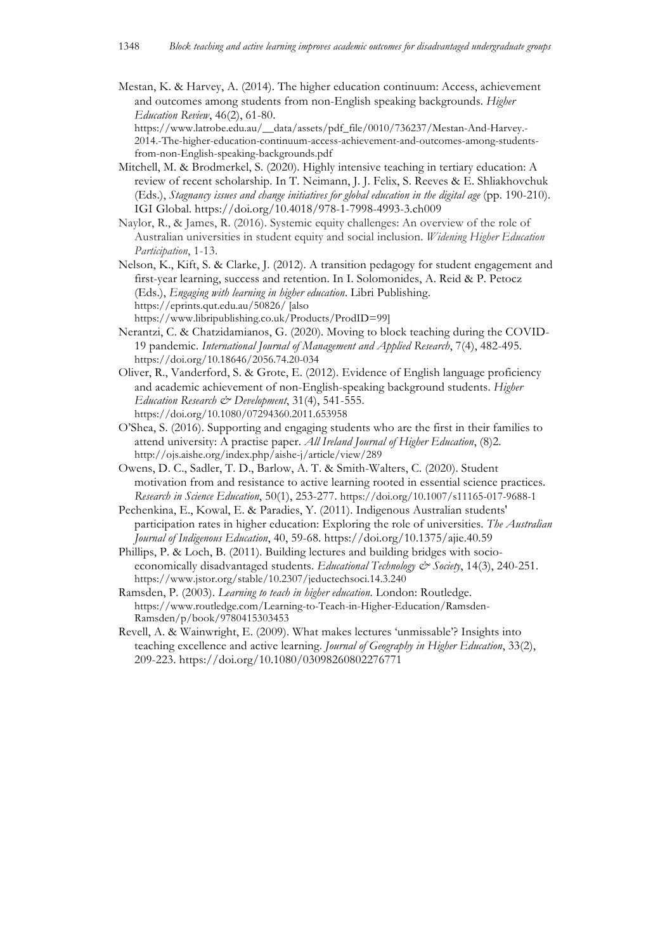Mestan, K. & Harvey, A. (2014). The higher education continuum: Access, achievement and outcomes among students from non-English speaking backgrounds. *Higher Education Review*, 46(2), 61-80.

https://www.latrobe.edu.au/\_\_data/assets/pdf\_file/0010/736237/Mestan-And-Harvey.- 2014.-The-higher-education-continuum-access-achievement-and-outcomes-among-studentsfrom-non-English-speaking-backgrounds.pdf

- Mitchell, M. & Brodmerkel, S. (2020). Highly intensive teaching in tertiary education: A review of recent scholarship. In T. Neimann, J. J. Felix, S. Reeves & E. Shliakhovchuk (Eds.), *Stagnancy issues and change initiatives for global education in the digital age* (pp. 190-210). IGI Global. https://doi.org/10.4018/978-1-7998-4993-3.ch009
- Naylor, R., & James, R. (2016). Systemic equity challenges: An overview of the role of Australian universities in student equity and social inclusion. *Widening Higher Education Participation*, 1-13.
- Nelson, K., Kift, S. & Clarke, J. (2012). A transition pedagogy for student engagement and first-year learning, success and retention. In I. Solomonides, A. Reid & P. Petocz (Eds.), *Engaging with learning in higher education*. Libri Publishing. https://eprints.qut.edu.au/50826/ [also https://www.libripublishing.co.uk/Products/ProdID=99]
- Nerantzi, C. & Chatzidamianos, G. (2020). Moving to block teaching during the COVID-19 pandemic. *International Journal of Management and Applied Research*, 7(4), 482-495. https://doi.org/10.18646/2056.74.20-034
- Oliver, R., Vanderford, S. & Grote, E. (2012). Evidence of English language proficiency and academic achievement of non-English-speaking background students. *Higher Education Research & Development*, 31(4), 541-555. https://doi.org/10.1080/07294360.2011.653958
- O'Shea, S. (2016). Supporting and engaging students who are the first in their families to attend university: A practise paper. *All Ireland Journal of Higher Education*, (8)2. http://ojs.aishe.org/index.php/aishe-j/article/view/289
- Owens, D. C., Sadler, T. D., Barlow, A. T. & Smith-Walters, C. (2020). Student motivation from and resistance to active learning rooted in essential science practices. *Research in Science Education*, 50(1), 253-277. https://doi.org/10.1007/s11165-017-9688-1
- Pechenkina, E., Kowal, E. & Paradies, Y. (2011). Indigenous Australian students' participation rates in higher education: Exploring the role of universities. *The Australian Journal of Indigenous Education*, 40, 59-68. https://doi.org/10.1375/ajie.40.59
- Phillips, P. & Loch, B. (2011). Building lectures and building bridges with socioeconomically disadvantaged students. *Educational Technology & Society*, 14(3), 240-251. https://www.jstor.org/stable/10.2307/jeductechsoci.14.3.240
- Ramsden, P. (2003). *Learning to teach in higher education*. London: Routledge. https://www.routledge.com/Learning-to-Teach-in-Higher-Education/Ramsden-Ramsden/p/book/9780415303453
- Revell, A. & Wainwright, E. (2009). What makes lectures 'unmissable'? Insights into teaching excellence and active learning. *Journal of Geography in Higher Education*, 33(2), 209-223. https://doi.org/10.1080/03098260802276771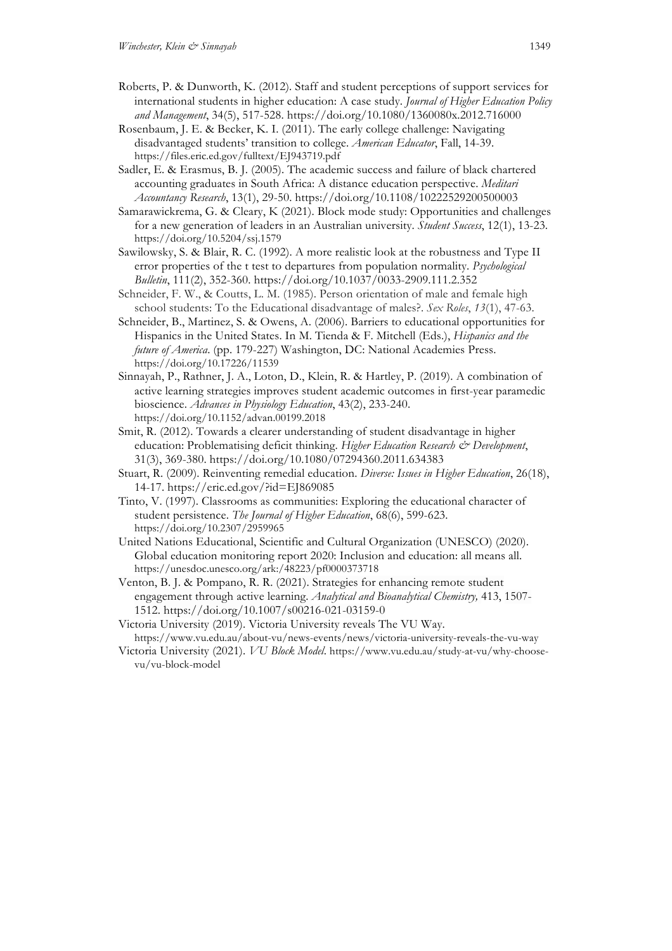- Roberts, P. & Dunworth, K. (2012). Staff and student perceptions of support services for international students in higher education: A case study. *Journal of Higher Education Policy and Management*, 34(5), 517-528. https://doi.org/10.1080/1360080x.2012.716000
- Rosenbaum, J. E. & Becker, K. I. (2011). The early college challenge: Navigating disadvantaged students' transition to college. *American Educator*, Fall, 14-39. https://files.eric.ed.gov/fulltext/EJ943719.pdf
- Sadler, E. & Erasmus, B. J. (2005). The academic success and failure of black chartered accounting graduates in South Africa: A distance education perspective. *Meditari Accountancy Research*, 13(1), 29-50. https://doi.org/10.1108/10222529200500003
- Samarawickrema, G. & Cleary, K (2021). Block mode study: Opportunities and challenges for a new generation of leaders in an Australian university. *Student Success*, 12(1), 13-23. https://doi.org/10.5204/ssj.1579
- Sawilowsky, S. & Blair, R. C. (1992). A more realistic look at the robustness and Type II error properties of the t test to departures from population normality. *Psychological Bulletin*, 111(2), 352-360. https://doi.org/10.1037/0033-2909.111.2.352
- Schneider, F. W., & Coutts, L. M. (1985). Person orientation of male and female high school students: To the Educational disadvantage of males?. *Sex Roles*, *13*(1), 47-63.
- Schneider, B., Martinez, S. & Owens, A. (2006). Barriers to educational opportunities for Hispanics in the United States. In M. Tienda & F. Mitchell (Eds.), *Hispanics and the future of America*. (pp. 179-227) Washington, DC: National Academies Press. https://doi.org/10.17226/11539
- Sinnayah, P., Rathner, J. A., Loton, D., Klein, R. & Hartley, P. (2019). A combination of active learning strategies improves student academic outcomes in first-year paramedic bioscience. *Advances in Physiology Education*, 43(2), 233-240. https://doi.org/10.1152/advan.00199.2018
- Smit, R. (2012). Towards a clearer understanding of student disadvantage in higher education: Problematising deficit thinking. *Higher Education Research & Development*, 31(3), 369-380. https://doi.org/10.1080/07294360.2011.634383
- Stuart, R. (2009). Reinventing remedial education. *Diverse: Issues in Higher Education*, 26(18), 14-17. https://eric.ed.gov/?id=EJ869085
- Tinto, V. (1997). Classrooms as communities: Exploring the educational character of student persistence. *The Journal of Higher Education*, 68(6), 599-623. https://doi.org/10.2307/2959965
- United Nations Educational, Scientific and Cultural Organization (UNESCO) (2020). Global education monitoring report 2020: Inclusion and education: all means all. https://unesdoc.unesco.org/ark:/48223/pf0000373718
- Venton, B. J. & Pompano, R. R. (2021). Strategies for enhancing remote student engagement through active learning. *Analytical and Bioanalytical Chemistry,* 413, 1507- 1512. https://doi.org/10.1007/s00216-021-03159-0
- Victoria University (2019). Victoria University reveals The VU Way. https://www.vu.edu.au/about-vu/news-events/news/victoria-university-reveals-the-vu-way
- Victoria University (2021). *VU Block Model*. https://www.vu.edu.au/study-at-vu/why-choosevu/vu-block-model